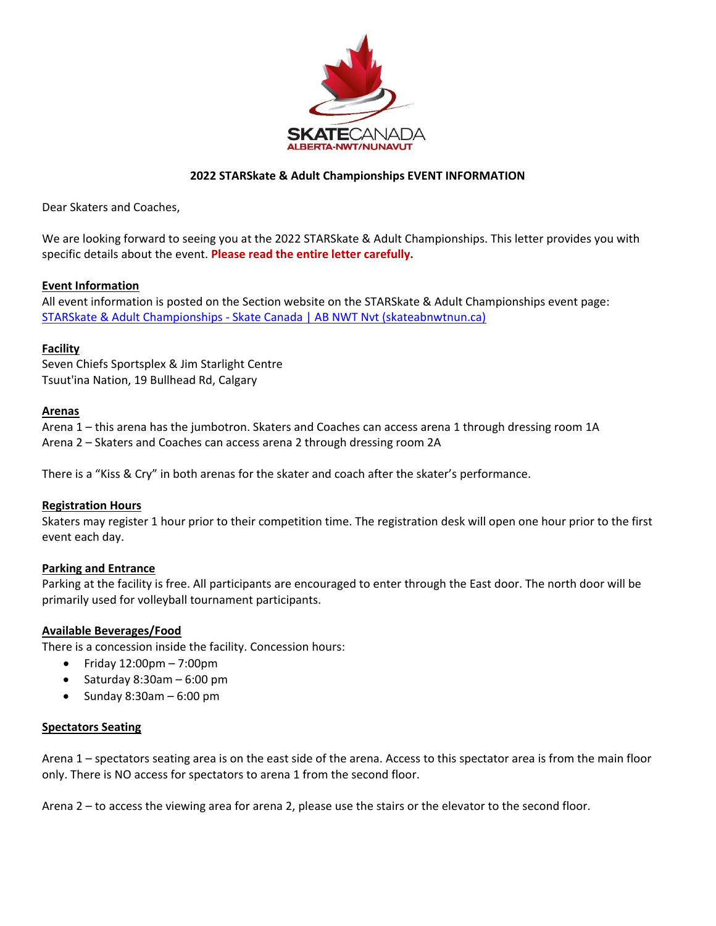

## **2022 STARSkate & Adult Championships EVENT INFORMATION**

Dear Skaters and Coaches,

We are looking forward to seeing you at the 2022 STARSkate & Adult Championships. This letter provides you with specific details about the event. **Please read the entire letter carefully.**

## **Event Information**

All event information is posted on the Section website on the STARSkate & Adult Championships event page: STARSkate & Adult Championships - [Skate Canada | AB NWT Nvt \(skateabnwtnun.ca\)](https://skateabnwtnun.ca/event/starskate-adult-championships/)

# **Facility**

Seven Chiefs Sportsplex & Jim Starlight Centre Tsuut'ina Nation, 19 Bullhead Rd, Calgary

## **Arenas**

Arena 1 – this arena has the jumbotron. Skaters and Coaches can access arena 1 through dressing room 1A Arena 2 – Skaters and Coaches can access arena 2 through dressing room 2A

There is a "Kiss & Cry" in both arenas for the skater and coach after the skater's performance.

## **Registration Hours**

Skaters may register 1 hour prior to their competition time. The registration desk will open one hour prior to the first event each day.

## **Parking and Entrance**

Parking at the facility is free. All participants are encouraged to enter through the East door. The north door will be primarily used for volleyball tournament participants.

## **Available Beverages/Food**

There is a concession inside the facility. Concession hours:

- $\bullet$  Friday 12:00pm 7:00pm
- Saturday  $8:30$ am  $6:00$  pm
- Sunday 8:30am 6:00 pm

## **Spectators Seating**

Arena 1 – spectators seating area is on the east side of the arena. Access to this spectator area is from the main floor only. There is NO access for spectators to arena 1 from the second floor.

Arena 2 – to access the viewing area for arena 2, please use the stairs or the elevator to the second floor.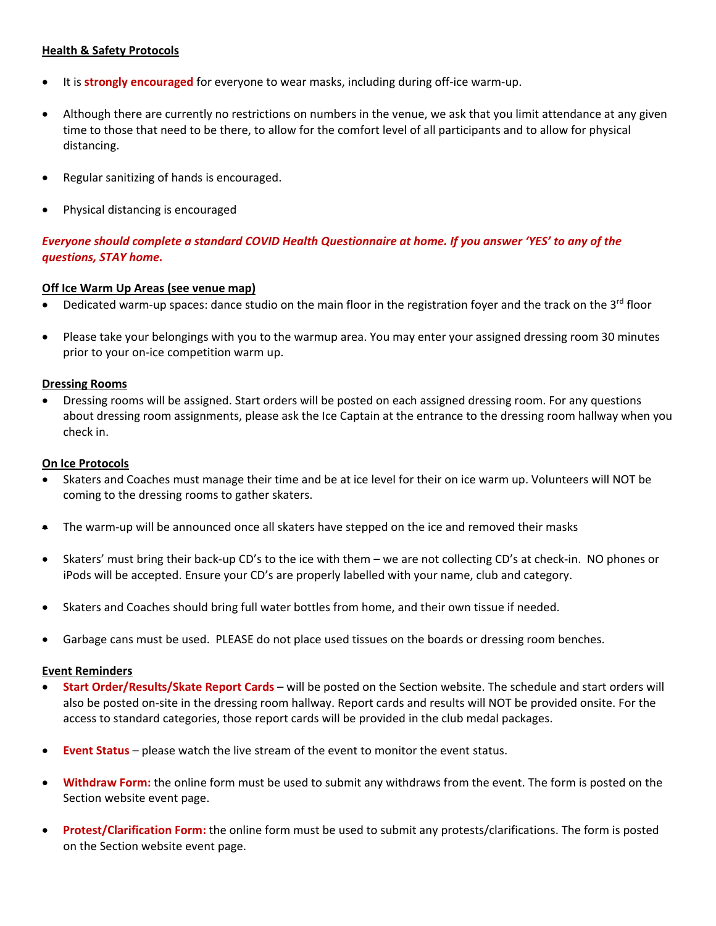## **Health & Safety Protocols**

- It is **strongly encouraged** for everyone to wear masks, including during off-ice warm-up.
- Although there are currently no restrictions on numbers in the venue, we ask that you limit attendance at any given time to those that need to be there, to allow for the comfort level of all participants and to allow for physical distancing.
- Regular sanitizing of hands is encouraged.
- Physical distancing is encouraged

# *Everyone should complete a standard COVID Health Questionnaire at home. If you answer 'YES' to any of the questions, STAY home.*

## **Off Ice Warm Up Areas (see venue map)**

- Dedicated warm-up spaces: dance studio on the main floor in the registration foyer and the track on the 3<sup>rd</sup> floor
- Please take your belongings with you to the warmup area. You may enter your assigned dressing room 30 minutes prior to your on-ice competition warm up.

### **Dressing Rooms**

• Dressing rooms will be assigned. Start orders will be posted on each assigned dressing room. For any questions about dressing room assignments, please ask the Ice Captain at the entrance to the dressing room hallway when you check in.

### **On Ice Protocols**

- Skaters and Coaches must manage their time and be at ice level for their on ice warm up. Volunteers will NOT be coming to the dressing rooms to gather skaters.
- The warm-up will be announced once all skaters have stepped on the ice and removed their masks
- Skaters' must bring their back-up CD's to the ice with them we are not collecting CD's at check-in. NO phones or iPods will be accepted. Ensure your CD's are properly labelled with your name, club and category.
- Skaters and Coaches should bring full water bottles from home, and their own tissue if needed.
- Garbage cans must be used. PLEASE do not place used tissues on the boards or dressing room benches.

### **Event Reminders**

- **Start Order/Results/Skate Report Cards** will be posted on the Section website. The schedule and start orders will also be posted on-site in the dressing room hallway. Report cards and results will NOT be provided onsite. For the access to standard categories, those report cards will be provided in the club medal packages.
- **Event Status** please watch the live stream of the event to monitor the event status.
- **Withdraw Form:** the online form must be used to submit any withdraws from the event. The form is posted on the Section website event page.
- **Protest/Clarification Form:** the online form must be used to submit any protests/clarifications. The form is posted on the Section website event page.